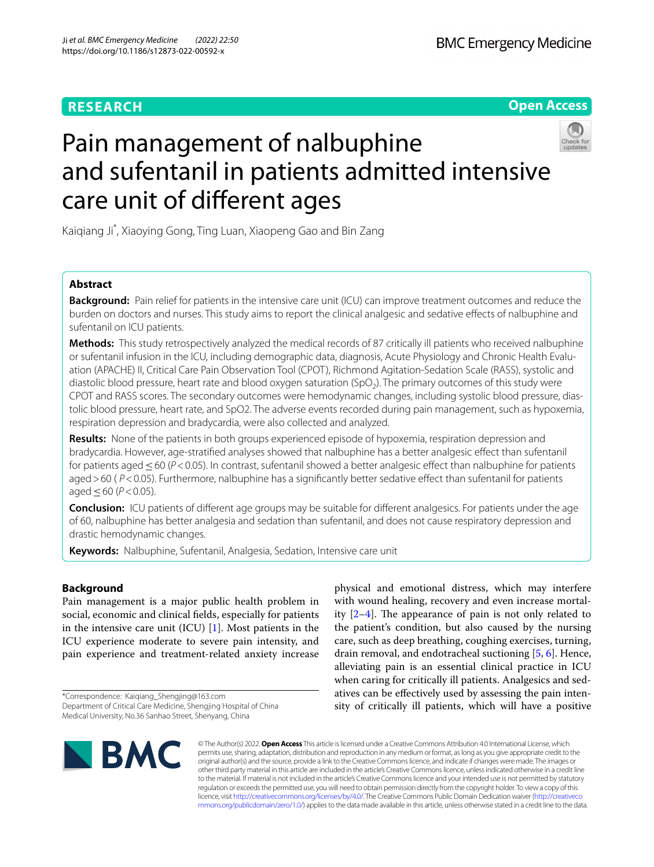# **RESEARCH**

**Open Access**

# Pain management of nalbuphine and sufentanil in patients admitted intensive care unit of diferent ages

Kaiqiang Ji\* , Xiaoying Gong, Ting Luan, Xiaopeng Gao and Bin Zang

# **Abstract**

**Background:** Pain relief for patients in the intensive care unit (ICU) can improve treatment outcomes and reduce the burden on doctors and nurses. This study aims to report the clinical analgesic and sedative efects of nalbuphine and sufentanil on ICU patients.

**Methods:** This study retrospectively analyzed the medical records of 87 critically ill patients who received nalbuphine or sufentanil infusion in the ICU, including demographic data, diagnosis, Acute Physiology and Chronic Health Evaluation (APACHE) II, Critical Care Pain Observation Tool (CPOT), Richmond Agitation-Sedation Scale (RASS), systolic and diastolic blood pressure, heart rate and blood oxygen saturation (SpO<sub>2</sub>). The primary outcomes of this study were CPOT and RASS scores. The secondary outcomes were hemodynamic changes, including systolic blood pressure, diastolic blood pressure, heart rate, and SpO2. The adverse events recorded during pain management, such as hypoxemia, respiration depression and bradycardia, were also collected and analyzed.

**Results:** None of the patients in both groups experienced episode of hypoxemia, respiration depression and bradycardia. However, age-stratifed analyses showed that nalbuphine has a better analgesic efect than sufentanil for patients aged≤60 (*P*<0.05). In contrast, sufentanil showed a better analgesic efect than nalbuphine for patients aged > 60 ( $P$ <0.05). Furthermore, nalbuphine has a significantly better sedative effect than sufentanil for patients aged ≤60 ( $P$ <0.05).

**Conclusion:** ICU patients of diferent age groups may be suitable for diferent analgesics. For patients under the age of 60, nalbuphine has better analgesia and sedation than sufentanil, and does not cause respiratory depression and drastic hemodynamic changes.

**Keywords:** Nalbuphine, Sufentanil, Analgesia, Sedation, Intensive care unit

# **Background**

Pain management is a major public health problem in social, economic and clinical felds, especially for patients in the intensive care unit (ICU) [\[1](#page-7-0)]. Most patients in the ICU experience moderate to severe pain intensity, and pain experience and treatment-related anxiety increase

\*Correspondence: Kaiqiang\_Shengjing@163.com Department of Critical Care Medicine, Shengjing Hospital of China Medical University, No.36 Sanhao Street, Shenyang, China

physical and emotional distress, which may interfere with wound healing, recovery and even increase mortality  $[2-4]$  $[2-4]$ . The appearance of pain is not only related to the patient's condition, but also caused by the nursing care, such as deep breathing, coughing exercises, turning, drain removal, and endotracheal suctioning [[5,](#page-7-3) [6](#page-7-4)]. Hence, alleviating pain is an essential clinical practice in ICU when caring for critically ill patients. Analgesics and sedatives can be efectively used by assessing the pain intensity of critically ill patients, which will have a positive



© The Author(s) 2022. **Open Access** This article is licensed under a Creative Commons Attribution 4.0 International License, which permits use, sharing, adaptation, distribution and reproduction in any medium or format, as long as you give appropriate credit to the original author(s) and the source, provide a link to the Creative Commons licence, and indicate if changes were made. The images or other third party material in this article are included in the article's Creative Commons licence, unless indicated otherwise in a credit line to the material. If material is not included in the article's Creative Commons licence and your intended use is not permitted by statutory regulation or exceeds the permitted use, you will need to obtain permission directly from the copyright holder. To view a copy of this licence, visit [http://creativecommons.org/licenses/by/4.0/.](http://creativecommons.org/licenses/by/4.0/) The Creative Commons Public Domain Dedication waiver ([http://creativeco](http://creativecommons.org/publicdomain/zero/1.0/) [mmons.org/publicdomain/zero/1.0/](http://creativecommons.org/publicdomain/zero/1.0/)) applies to the data made available in this article, unless otherwise stated in a credit line to the data.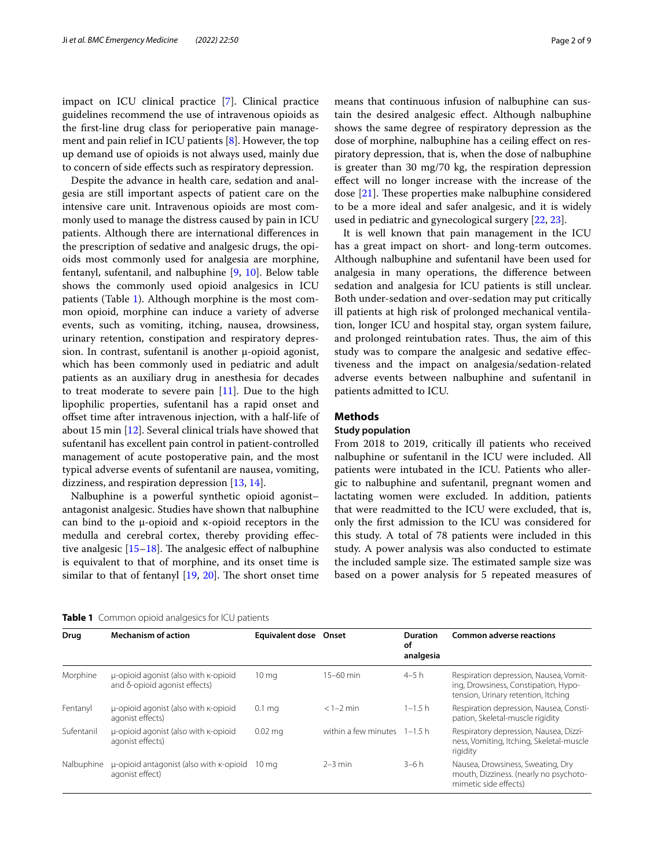impact on ICU clinical practice [\[7](#page-7-5)]. Clinical practice guidelines recommend the use of intravenous opioids as the frst-line drug class for perioperative pain management and pain relief in ICU patients [\[8](#page-7-6)]. However, the top up demand use of opioids is not always used, mainly due to concern of side efects such as respiratory depression.

Despite the advance in health care, sedation and analgesia are still important aspects of patient care on the intensive care unit. Intravenous opioids are most commonly used to manage the distress caused by pain in ICU patients. Although there are international diferences in the prescription of sedative and analgesic drugs, the opioids most commonly used for analgesia are morphine, fentanyl, sufentanil, and nalbuphine [[9,](#page-7-7) [10](#page-7-8)]. Below table shows the commonly used opioid analgesics in ICU patients (Table [1\)](#page-1-0). Although morphine is the most common opioid, morphine can induce a variety of adverse events, such as vomiting, itching, nausea, drowsiness, urinary retention, constipation and respiratory depression. In contrast, sufentanil is another μ-opioid agonist, which has been commonly used in pediatric and adult patients as an auxiliary drug in anesthesia for decades to treat moderate to severe pain  $[11]$  $[11]$ . Due to the high lipophilic properties, sufentanil has a rapid onset and ofset time after intravenous injection, with a half-life of about 15 min [\[12](#page-7-10)]. Several clinical trials have showed that sufentanil has excellent pain control in patient-controlled management of acute postoperative pain, and the most typical adverse events of sufentanil are nausea, vomiting, dizziness, and respiration depression [[13,](#page-7-11) [14\]](#page-8-0).

Nalbuphine is a powerful synthetic opioid agonist– antagonist analgesic. Studies have shown that nalbuphine can bind to the μ-opioid and κ-opioid receptors in the medulla and cerebral cortex, thereby providing efective analgesic  $[15–18]$  $[15–18]$ . The analgesic effect of nalbuphine is equivalent to that of morphine, and its onset time is similar to that of fentanyl  $[19, 20]$  $[19, 20]$  $[19, 20]$  $[19, 20]$ . The short onset time means that continuous infusion of nalbuphine can sustain the desired analgesic efect. Although nalbuphine shows the same degree of respiratory depression as the dose of morphine, nalbuphine has a ceiling efect on respiratory depression, that is, when the dose of nalbuphine is greater than 30 mg/70 kg, the respiration depression efect will no longer increase with the increase of the dose  $[21]$  $[21]$ . These properties make nalbuphine considered to be a more ideal and safer analgesic, and it is widely used in pediatric and gynecological surgery [[22,](#page-8-6) [23](#page-8-7)].

It is well known that pain management in the ICU has a great impact on short- and long-term outcomes. Although nalbuphine and sufentanil have been used for analgesia in many operations, the diference between sedation and analgesia for ICU patients is still unclear. Both under-sedation and over-sedation may put critically ill patients at high risk of prolonged mechanical ventilation, longer ICU and hospital stay, organ system failure, and prolonged reintubation rates. Thus, the aim of this study was to compare the analgesic and sedative efectiveness and the impact on analgesia/sedation-related adverse events between nalbuphine and sufentanil in patients admitted to ICU.

# **Methods**

# **Study population**

From 2018 to 2019, critically ill patients who received nalbuphine or sufentanil in the ICU were included. All patients were intubated in the ICU. Patients who allergic to nalbuphine and sufentanil, pregnant women and lactating women were excluded. In addition, patients that were readmitted to the ICU were excluded, that is, only the frst admission to the ICU was considered for this study. A total of 78 patients were included in this study. A power analysis was also conducted to estimate the included sample size. The estimated sample size was based on a power analysis for 5 repeated measures of

<span id="page-1-0"></span>

|  |  |  | Table 1 Common opioid analgesics for ICU patients |  |  |
|--|--|--|---------------------------------------------------|--|--|
|--|--|--|---------------------------------------------------|--|--|

| Drug       | <b>Mechanism of action</b>                                            | <b>Equivalent dose Onset</b> |                                | <b>Duration</b><br>оf<br>analgesia | <b>Common adverse reactions</b>                                                                                       |
|------------|-----------------------------------------------------------------------|------------------------------|--------------------------------|------------------------------------|-----------------------------------------------------------------------------------------------------------------------|
| Morphine   | u-opioid agonist (also with K-opioid<br>and δ-opioid agonist effects) | 10 <sub>mg</sub>             | $15 - 60$ min                  | $4 - 5h$                           | Respiration depression, Nausea, Vomit-<br>ing, Drowsiness, Constipation, Hypo-<br>tension, Urinary retention, Itching |
| Fentanyl   | u-opioid agonist (also with K-opioid<br>agonist effects)              | 0.1 <sub>mg</sub>            | $<1-2$ min                     | $1 - 1.5$ h                        | Respiration depression, Nausea, Consti-<br>pation, Skeletal-muscle rigidity                                           |
| Sufentanil | u-opioid agonist (also with K-opioid<br>agonist effects)              | $0.02$ mg                    | within a few minutes $1-1.5$ h |                                    | Respiratory depression, Nausea, Dizzi-<br>ness, Vomiting, Itching, Skeletal-muscle<br>rigidity                        |
| Nalbuphine | u-opioid antagonist (also with K-opioid<br>agonist effect)            | $10 \text{ ma}$              | $2-3$ min                      | $3-6h$                             | Nausea, Drowsiness, Sweating, Dry<br>mouth, Dizziness. (nearly no psychoto-<br>mimetic side effects)                  |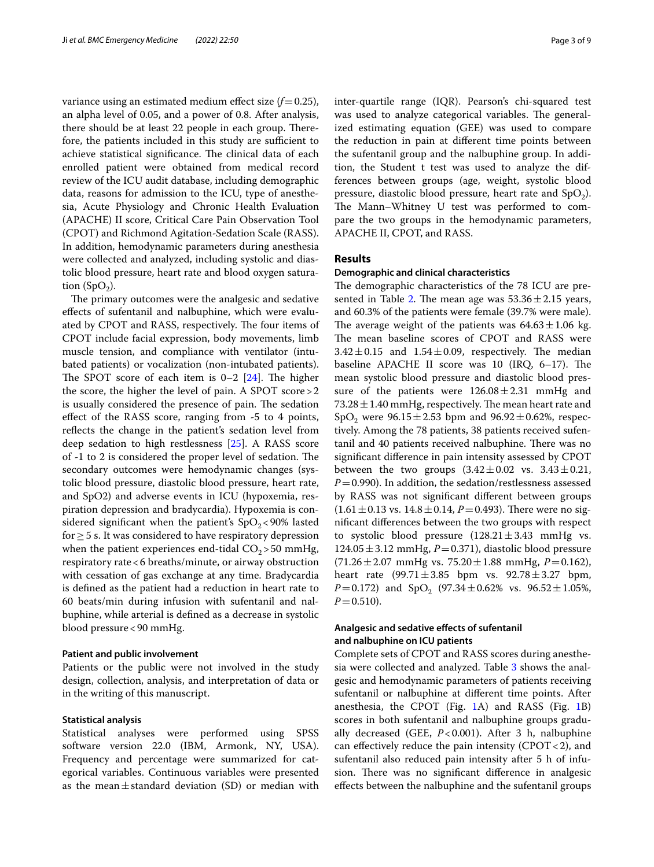variance using an estimated medium effect size  $(f=0.25)$ , an alpha level of 0.05, and a power of 0.8. After analysis, there should be at least 22 people in each group. Therefore, the patients included in this study are sufficient to achieve statistical significance. The clinical data of each enrolled patient were obtained from medical record review of the ICU audit database, including demographic data, reasons for admission to the ICU, type of anesthesia, Acute Physiology and Chronic Health Evaluation (APACHE) II score, Critical Care Pain Observation Tool (CPOT) and Richmond Agitation-Sedation Scale (RASS). In addition, hemodynamic parameters during anesthesia were collected and analyzed, including systolic and diastolic blood pressure, heart rate and blood oxygen saturation  $(SpO<sub>2</sub>)$ .

The primary outcomes were the analgesic and sedative efects of sufentanil and nalbuphine, which were evaluated by CPOT and RASS, respectively. The four items of CPOT include facial expression, body movements, limb muscle tension, and compliance with ventilator (intubated patients) or vocalization (non-intubated patients). The SPOT score of each item is  $0-2$  [[24](#page-8-8)]. The higher the score, the higher the level of pain. A SPOT score>2 is usually considered the presence of pain. The sedation efect of the RASS score, ranging from -5 to 4 points, reflects the change in the patient's sedation level from deep sedation to high restlessness [\[25\]](#page-8-9). A RASS score of -1 to 2 is considered the proper level of sedation. The secondary outcomes were hemodynamic changes (systolic blood pressure, diastolic blood pressure, heart rate, and SpO2) and adverse events in ICU (hypoxemia, respiration depression and bradycardia). Hypoxemia is considered significant when the patient's  $SpO<sub>2</sub>$ <90% lasted for  $\geq$  5 s. It was considered to have respiratory depression when the patient experiences end-tidal  $CO<sub>2</sub>$  > 50 mmHg, respiratory rate<6 breaths/minute, or airway obstruction with cessation of gas exchange at any time. Bradycardia is defned as the patient had a reduction in heart rate to 60 beats/min during infusion with sufentanil and nalbuphine, while arterial is defned as a decrease in systolic blood pressure<90 mmHg.

## **Patient and public involvement**

Patients or the public were not involved in the study design, collection, analysis, and interpretation of data or in the writing of this manuscript.

# **Statistical analysis**

Statistical analyses were performed using SPSS software version 22.0 (IBM, Armonk, NY, USA). Frequency and percentage were summarized for categorical variables. Continuous variables were presented as the mean $\pm$ standard deviation (SD) or median with inter-quartile range (IQR). Pearson's chi-squared test was used to analyze categorical variables. The generalized estimating equation (GEE) was used to compare the reduction in pain at diferent time points between the sufentanil group and the nalbuphine group. In addition, the Student t test was used to analyze the differences between groups (age, weight, systolic blood pressure, diastolic blood pressure, heart rate and  $SpO<sub>2</sub>$ ). The Mann–Whitney U test was performed to compare the two groups in the hemodynamic parameters, APACHE II, CPOT, and RASS.

# **Results**

# **Demographic and clinical characteristics**

The demographic characteristics of the 78 ICU are pre-sented in Table [2.](#page-3-0) The mean age was  $53.36 \pm 2.15$  years, and 60.3% of the patients were female (39.7% were male). The average weight of the patients was  $64.63 \pm 1.06$  kg. The mean baseline scores of CPOT and RASS were  $3.42 \pm 0.15$  and  $1.54 \pm 0.09$ , respectively. The median baseline APACHE II score was 10 (IRQ,  $6-17$ ). The mean systolic blood pressure and diastolic blood pressure of the patients were  $126.08 \pm 2.31$  mmHg and  $73.28 \pm 1.40$  mmHg, respectively. The mean heart rate and SpO<sub>2</sub> were 96.15 $\pm$ 2.53 bpm and 96.92 $\pm$ 0.62%, respectively. Among the 78 patients, 38 patients received sufentanil and 40 patients received nalbuphine. There was no signifcant diference in pain intensity assessed by CPOT between the two groups  $(3.42 \pm 0.02 \text{ vs. } 3.43 \pm 0.21,$  $P=0.990$ ). In addition, the sedation/restlessness assessed by RASS was not signifcant diferent between groups  $(1.61 \pm 0.13 \text{ vs. } 14.8 \pm 0.14, P = 0.493)$ . There were no signifcant diferences between the two groups with respect to systolic blood pressure  $(128.21 \pm 3.43 \text{ mmHg} \text{ vs.})$  $124.05 \pm 3.12$  mmHg,  $P = 0.371$ ), diastolic blood pressure  $(71.26 \pm 2.07 \text{ mmHg vs. } 75.20 \pm 1.88 \text{ mmHg}, P=0.162)$ , heart rate  $(99.71 \pm 3.85$  bpm vs.  $92.78 \pm 3.27$  bpm, *P*=0.172) and SpO<sub>2</sub> (97.34 $\pm$ 0.62% vs. 96.52 $\pm$ 1.05%,  $P=0.510$ ).

# **Analgesic and sedative efects of sufentanil and nalbuphine on ICU patients**

Complete sets of CPOT and RASS scores during anesthesia were collected and analyzed. Table [3](#page-4-0) shows the analgesic and hemodynamic parameters of patients receiving sufentanil or nalbuphine at diferent time points. After anesthesia, the CPOT (Fig. [1A](#page-5-0)) and RASS (Fig. [1](#page-5-0)B) scores in both sufentanil and nalbuphine groups gradually decreased (GEE, *P*<0.001). After 3 h, nalbuphine can effectively reduce the pain intensity (CPOT < 2), and sufentanil also reduced pain intensity after 5 h of infusion. There was no significant difference in analgesic efects between the nalbuphine and the sufentanil groups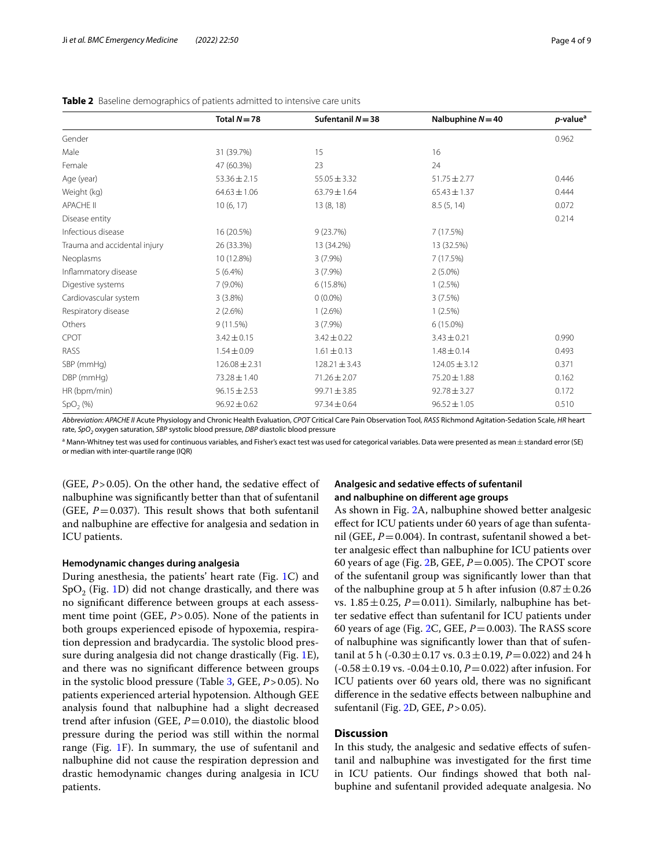|                              | Total $N = 78$    | Sufentanil $N = 38$ | Nalbuphine $N = 40$ | $p$ -value <sup>a</sup> |
|------------------------------|-------------------|---------------------|---------------------|-------------------------|
| Gender                       |                   |                     |                     | 0.962                   |
| Male                         | 31 (39.7%)        | 15                  | 16                  |                         |
| Female                       | 47 (60.3%)        | 23                  | 24                  |                         |
| Age (year)                   | $53.36 \pm 2.15$  | $55.05 \pm 3.32$    | $51.75 \pm 2.77$    | 0.446                   |
| Weight (kg)                  | $64.63 \pm 1.06$  | $63.79 \pm 1.64$    | $65.43 \pm 1.37$    | 0.444                   |
| <b>APACHE II</b>             | 10(6, 17)         | 13(8, 18)           | 8.5(5, 14)          | 0.072                   |
| Disease entity               |                   |                     |                     | 0.214                   |
| Infectious disease           | 16 (20.5%)        | 9(23.7%)            | 7(17.5%)            |                         |
| Trauma and accidental injury | 26 (33.3%)        | 13 (34.2%)          | 13 (32.5%)          |                         |
| Neoplasms                    | 10 (12.8%)        | $3(7.9\%)$          | 7 (17.5%)           |                         |
| Inflammatory disease         | $5(6.4\%)$        | $3(7.9\%)$          | $2(5.0\%)$          |                         |
| Digestive systems            | $7(9.0\%)$        | 6 (15.8%)           | 1(2.5%)             |                         |
| Cardiovascular system        | 3(3.8%)           | $0(0.0\%)$          | 3(7.5%)             |                         |
| Respiratory disease          | 2(2.6%)           | $1(2.6\%)$          | $1(2.5\%)$          |                         |
| Others                       | 9(11.5%)          | $3(7.9\%)$          | $6(15.0\%)$         |                         |
| CPOT                         | $3.42 \pm 0.15$   | $3.42 \pm 0.22$     | $3.43 \pm 0.21$     | 0.990                   |
| RASS                         | $1.54 \pm 0.09$   | $1.61 \pm 0.13$     | $1.48 \pm 0.14$     | 0.493                   |
| SBP (mmHg)                   | $126.08 \pm 2.31$ | $128.21 \pm 3.43$   | $124.05 \pm 3.12$   | 0.371                   |
| DBP (mmHg)                   | $73.28 \pm 1.40$  | $71.26 \pm 2.07$    | $75.20 \pm 1.88$    | 0.162                   |
| HR (bpm/min)                 | $96.15 \pm 2.53$  | $99.71 \pm 3.85$    | $92.78 \pm 3.27$    | 0.172                   |
| SpO <sub>2</sub> (%)         | $96.92 \pm 0.62$  | $97.34 \pm 0.64$    | $96.52 \pm 1.05$    | 0.510                   |

## <span id="page-3-0"></span>**Table 2** Baseline demographics of patients admitted to intensive care units

*Abbreviation: APACHE II* Acute Physiology and Chronic Health Evaluation, *CPOT* Critical Care Pain Observation Tool*, RASS* Richmond Agitation-Sedation Scale*, HR* heart rate, SpO<sub>2</sub> oxygen saturation, SBP systolic blood pressure, DBP diastolic blood pressure

 $^{\rm a}$  Mann-Whitney test was used for continuous variables, and Fisher's exact test was used for categorical variables. Data were presented as mean $\pm$ standard error (SE) or median with inter-quartile range (IQR)

(GEE,  $P > 0.05$ ). On the other hand, the sedative effect of nalbuphine was signifcantly better than that of sufentanil (GEE,  $P=0.037$ ). This result shows that both sufentanil and nalbuphine are efective for analgesia and sedation in ICU patients.

## **Hemodynamic changes during analgesia**

During anesthesia, the patients' heart rate (Fig. [1C](#page-5-0)) and  $SpO<sub>2</sub>$  (Fig. [1](#page-5-0)D) did not change drastically, and there was no signifcant diference between groups at each assessment time point (GEE,  $P > 0.05$ ). None of the patients in both groups experienced episode of hypoxemia, respiration depression and bradycardia. The systolic blood pressure during analgesia did not change drastically (Fig. [1E](#page-5-0)), and there was no signifcant diference between groups in the systolic blood pressure (Table [3,](#page-4-0) GEE, *P*>0.05). No patients experienced arterial hypotension. Although GEE analysis found that nalbuphine had a slight decreased trend after infusion (GEE,  $P = 0.010$ ), the diastolic blood pressure during the period was still within the normal range (Fig. [1F](#page-5-0)). In summary, the use of sufentanil and nalbuphine did not cause the respiration depression and drastic hemodynamic changes during analgesia in ICU patients.

# **Analgesic and sedative efects of sufentanil and nalbuphine on diferent age groups**

As shown in Fig. [2](#page-6-0)A, nalbuphine showed better analgesic efect for ICU patients under 60 years of age than sufentanil (GEE,  $P = 0.004$ ). In contrast, sufentanil showed a better analgesic efect than nalbuphine for ICU patients over 60 years of age (Fig. [2B](#page-6-0), GEE,  $P = 0.005$ ). The CPOT score of the sufentanil group was signifcantly lower than that of the nalbuphine group at 5 h after infusion  $(0.87 \pm 0.26)$ vs.  $1.85 \pm 0.25$ ,  $P = 0.011$ ). Similarly, nalbuphine has better sedative efect than sufentanil for ICU patients under 60 years of age (Fig.  $2C$ , GEE,  $P = 0.003$ ). The RASS score of nalbuphine was signifcantly lower than that of sufentanil at 5 h ( $-0.30 \pm 0.17$  vs.  $0.3 \pm 0.19$ ,  $P = 0.022$ ) and 24 h  $(-0.58 \pm 0.19 \text{ vs. } -0.04 \pm 0.10, P=0.022)$  after infusion. For ICU patients over 60 years old, there was no signifcant diference in the sedative efects between nalbuphine and sufentanil (Fig. [2](#page-6-0)D, GEE, *P*>0.05).

# **Discussion**

In this study, the analgesic and sedative effects of sufentanil and nalbuphine was investigated for the frst time in ICU patients. Our fndings showed that both nalbuphine and sufentanil provided adequate analgesia. No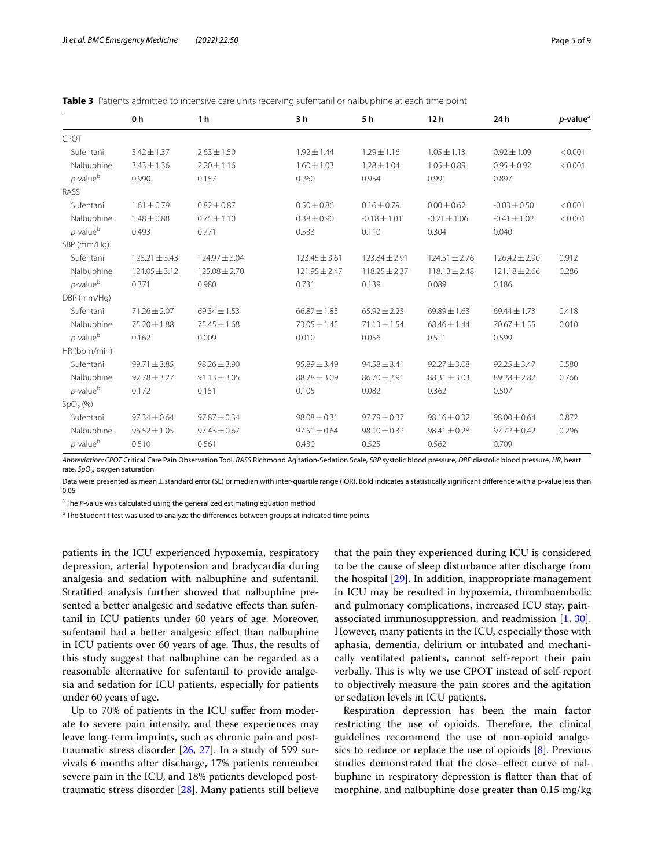| Page 5 of 9 |
|-------------|
|-------------|

|                              | 0 <sub>h</sub>    | 1 <sub>h</sub>    | 3 h               | 5 h               | 12 <sub>h</sub>   | 24 h              | $p$ -value <sup>a</sup> |
|------------------------------|-------------------|-------------------|-------------------|-------------------|-------------------|-------------------|-------------------------|
| CPOT                         |                   |                   |                   |                   |                   |                   |                         |
| Sufentanil                   | $3.42 \pm 1.37$   | $2.63 \pm 1.50$   | $1.92 \pm 1.44$   | $1.29 \pm 1.16$   | $1.05 \pm 1.13$   | $0.92 \pm 1.09$   | < 0.001                 |
| Nalbuphine                   | $3.43 \pm 1.36$   | $2.20 \pm 1.16$   | $1.60 \pm 1.03$   | $1.28 \pm 1.04$   | $1.05 \pm 0.89$   | $0.95 \pm 0.92$   | < 0.001                 |
| $p$ -value $b$               | 0.990             | 0.157             | 0.260             | 0.954             | 0.991             | 0.897             |                         |
| RASS                         |                   |                   |                   |                   |                   |                   |                         |
| Sufentanil                   | $1.61 \pm 0.79$   | $0.82 \pm 0.87$   | $0.50 \pm 0.86$   | $0.16 \pm 0.79$   | $0.00 \pm 0.62$   | $-0.03 \pm 0.50$  | < 0.001                 |
| Nalbuphine                   | $1.48 \pm 0.88$   | $0.75 \pm 1.10$   | $0.38 \pm 0.90$   | $-0.18 \pm 1.01$  | $-0.21 \pm 1.06$  | $-0.41 \pm 1.02$  | < 0.001                 |
| $p$ -value $^{\rm b}$        | 0.493             | 0.771             | 0.533             | 0.110             | 0.304             | 0.040             |                         |
| SBP (mm/Hq)                  |                   |                   |                   |                   |                   |                   |                         |
| Sufentanil                   | $128.21 \pm 3.43$ | $124.97 \pm 3.04$ | $123.45 \pm 3.61$ | $123.84 \pm 2.91$ | $124.51 \pm 2.76$ | $126.42 \pm 2.90$ | 0.912                   |
| Nalbuphine                   | $124.05 \pm 3.12$ | $125.08 \pm 2.70$ | $121.95 \pm 2.47$ | $118.25 + 2.37$   | $118.13 \pm 2.48$ | $121.18 \pm 2.66$ | 0.286                   |
| $p$ -value $\rm ^b$          | 0.371             | 0.980             | 0.731             | 0.139             | 0.089             | 0.186             |                         |
| DBP (mm/Hq)                  |                   |                   |                   |                   |                   |                   |                         |
| Sufentanil                   | $71.26 \pm 2.07$  | $69.34 \pm 1.53$  | $66.87 \pm 1.85$  | $65.92 \pm 2.23$  | $69.89 \pm 1.63$  | $69.44 \pm 1.73$  | 0.418                   |
| Nalbuphine                   | $75.20 \pm 1.88$  | 75.45 ± 1.68      | 73.05 ± 1.45      | $71.13 \pm 1.54$  | $68.46 \pm 1.44$  | $70.67 \pm 1.55$  | 0.010                   |
| <i>p</i> -value <sup>b</sup> | 0.162             | 0.009             | 0.010             | 0.056             | 0.511             | 0.599             |                         |
| HR (bpm/min)                 |                   |                   |                   |                   |                   |                   |                         |
| Sufentanil                   | $99.71 \pm 3.85$  | $98.26 \pm 3.90$  | $95.89 \pm 3.49$  | $94.58 \pm 3.41$  | $92.27 \pm 3.08$  | $92.25 \pm 3.47$  | 0.580                   |
| Nalbuphine                   | $92.78 \pm 3.27$  | $91.13 \pm 3.05$  | $88.28 \pm 3.09$  | $86.70 \pm 2.91$  | $88.31 \pm 3.03$  | $89.28 \pm 2.82$  | 0.766                   |
| $p$ -value $b$               | 0.172             | 0.151             | 0.105             | 0.082             | 0.362             | 0.507             |                         |
| SpO <sub>2</sub> (% )        |                   |                   |                   |                   |                   |                   |                         |
| Sufentanil                   | $97.34 \pm 0.64$  | $97.87 \pm 0.34$  | $98.08 \pm 0.31$  | $97.79 \pm 0.37$  | $98.16 \pm 0.32$  | $98.00 \pm 0.64$  | 0.872                   |
| Nalbuphine                   | $96.52 \pm 1.05$  | $97.43 \pm 0.67$  | $97.51 \pm 0.64$  | $98.10 \pm 0.32$  | $98.41 \pm 0.28$  | $97.72 \pm 0.42$  | 0.296                   |
| $p$ -value $b$               | 0.510             | 0.561             | 0.430             | 0.525             | 0.562             | 0.709             |                         |

<span id="page-4-0"></span>

*Abbreviation: CPOT* Critical Care Pain Observation Tool*, RASS* Richmond Agitation-Sedation Scale*, SBP* systolic blood pressure*, DBP* diastolic blood pressure*, HR*, heart rate, SpO<sub>2</sub>, oxygen saturation

Data were presented as mean ±standard error (SE) or median with inter-quartile range (IQR). Bold indicates a statistically significant difference with a p-value less than 0.05

<sup>a</sup> The P-value was calculated using the generalized estimating equation method

<sup>b</sup> The Student t test was used to analyze the differences between groups at indicated time points

patients in the ICU experienced hypoxemia, respiratory depression, arterial hypotension and bradycardia during analgesia and sedation with nalbuphine and sufentanil. Stratifed analysis further showed that nalbuphine presented a better analgesic and sedative efects than sufentanil in ICU patients under 60 years of age. Moreover, sufentanil had a better analgesic efect than nalbuphine in ICU patients over 60 years of age. Thus, the results of this study suggest that nalbuphine can be regarded as a reasonable alternative for sufentanil to provide analgesia and sedation for ICU patients, especially for patients under 60 years of age.

Up to 70% of patients in the ICU suffer from moderate to severe pain intensity, and these experiences may leave long-term imprints, such as chronic pain and posttraumatic stress disorder [\[26](#page-8-10), [27](#page-8-11)]. In a study of 599 survivals 6 months after discharge, 17% patients remember severe pain in the ICU, and 18% patients developed posttraumatic stress disorder [[28\]](#page-8-12). Many patients still believe that the pain they experienced during ICU is considered to be the cause of sleep disturbance after discharge from the hospital [[29\]](#page-8-13). In addition, inappropriate management in ICU may be resulted in hypoxemia, thromboembolic and pulmonary complications, increased ICU stay, painassociated immunosuppression, and readmission [\[1](#page-7-0), [30](#page-8-14)]. However, many patients in the ICU, especially those with aphasia, dementia, delirium or intubated and mechanically ventilated patients, cannot self-report their pain verbally. This is why we use CPOT instead of self-report to objectively measure the pain scores and the agitation or sedation levels in ICU patients.

Respiration depression has been the main factor restricting the use of opioids. Therefore, the clinical guidelines recommend the use of non-opioid analgesics to reduce or replace the use of opioids [[8\]](#page-7-6). Previous studies demonstrated that the dose–efect curve of nalbuphine in respiratory depression is fatter than that of morphine, and nalbuphine dose greater than 0.15 mg/kg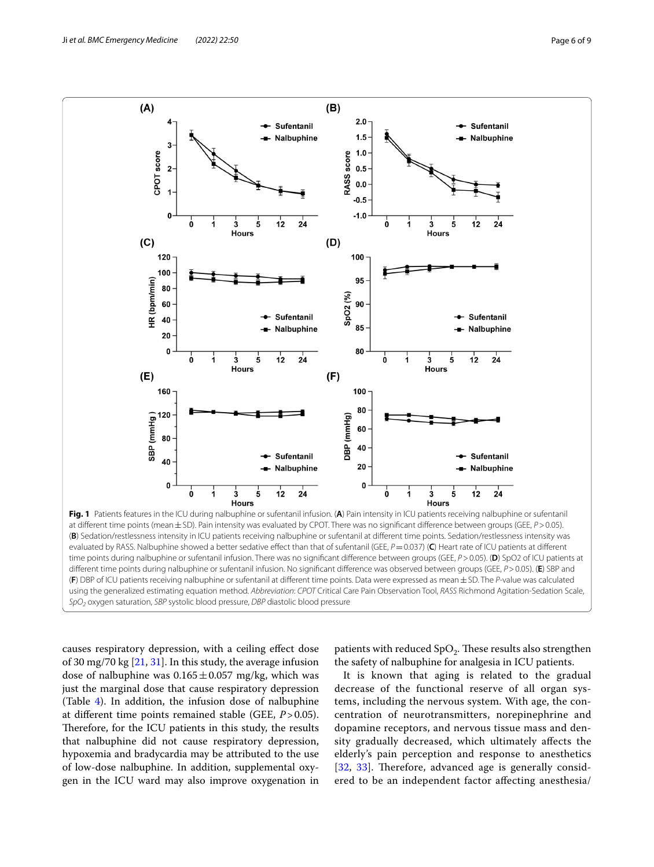

<span id="page-5-0"></span>(**F**) DBP of ICU patients receiving nalbuphine or sufentanil at diferent time points. Data were expressed as mean±SD. The *P*-value was calculated using the generalized estimating equation method. *Abbreviation*: *CPOT* Critical Care Pain Observation Tool, *RASS* Richmond Agitation-Sedation Scale, *SpO2* oxygen saturation, *SBP* systolic blood pressure, *DBP* diastolic blood pressure

causes respiratory depression, with a ceiling efect dose of 30 mg/70 kg [[21,](#page-8-5) [31\]](#page-8-15). In this study, the average infusion dose of nalbuphine was  $0.165 \pm 0.057$  mg/kg, which was just the marginal dose that cause respiratory depression (Table [4](#page-6-1)). In addition, the infusion dose of nalbuphine at diferent time points remained stable (GEE, *P*>0.05). Therefore, for the ICU patients in this study, the results that nalbuphine did not cause respiratory depression, hypoxemia and bradycardia may be attributed to the use of low-dose nalbuphine. In addition, supplemental oxygen in the ICU ward may also improve oxygenation in

patients with reduced  $SpO<sub>2</sub>$ . These results also strengthen the safety of nalbuphine for analgesia in ICU patients.

It is known that aging is related to the gradual decrease of the functional reserve of all organ systems, including the nervous system. With age, the concentration of neurotransmitters, norepinephrine and dopamine receptors, and nervous tissue mass and density gradually decreased, which ultimately afects the elderly's pain perception and response to anesthetics [[32](#page-8-16), [33\]](#page-8-17). Therefore, advanced age is generally considered to be an independent factor afecting anesthesia/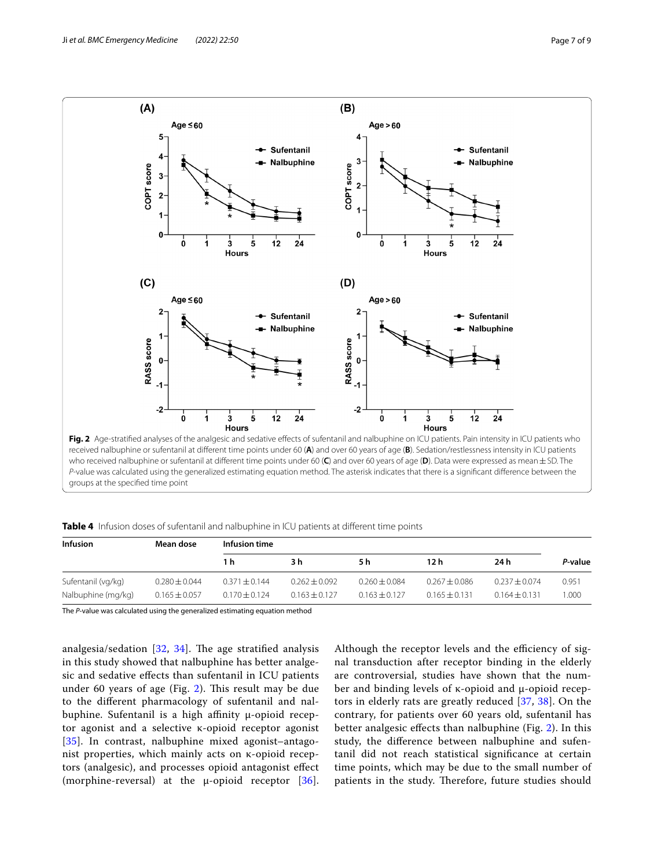

<span id="page-6-0"></span>received nalbuphine or sufentanil at diferent time points under 60 (**A**) and over 60 years of age (**B**). Sedation/restlessness intensity in ICU patients who received nalbuphine or sufentanil at diferent time points under 60 (**C**) and over 60 years of age (**D**). Data were expressed as mean±SD. The *P*-value was calculated using the generalized estimating equation method. The asterisk indicates that there is a signifcant diference between the groups at the specifed time point

<span id="page-6-1"></span>**Table 4** Infusion doses of sufentanil and nalbuphine in ICU patients at different time points

| <b>Infusion</b>    | Mean dose         | Infusion time     |                   |                   |                   |                   |         |
|--------------------|-------------------|-------------------|-------------------|-------------------|-------------------|-------------------|---------|
|                    |                   | 1 h               | 3 h               | 5 h               | 12 h              | 24 h              | P-value |
| Sufentanil (vg/kg) | $0.280 \pm 0.044$ | $0.371 \pm 0.144$ | $0.262 \pm 0.092$ | $0.260 \pm 0.084$ | $0.267 + 0.086$   | $0.237 \pm 0.074$ | 0.951   |
| Nalbuphine (mg/kg) | $0.165 \pm 0.057$ | $0.170 \pm 0.124$ | $0.163 \pm 0.127$ | $0.163 + 0.127$   | $0.165 \pm 0.131$ | $0.164 \pm 0.131$ | 1.000   |

The *P-*value was calculated using the generalized estimating equation method

analgesia/sedation  $[32, 34]$  $[32, 34]$  $[32, 34]$  $[32, 34]$ . The age stratified analysis in this study showed that nalbuphine has better analgesic and sedative efects than sufentanil in ICU patients under 60 years of age (Fig.  $2$ ). This result may be due to the diferent pharmacology of sufentanil and nalbuphine. Sufentanil is a high afnity μ-opioid receptor agonist and a selective κ-opioid receptor agonist [[35](#page-8-19)]. In contrast, nalbuphine mixed agonist-antagonist properties, which mainly acts on κ-opioid receptors (analgesic), and processes opioid antagonist efect (morphine-reversal) at the  $\mu$ -opioid receptor [[36\]](#page-8-20).

Although the receptor levels and the efficiency of signal transduction after receptor binding in the elderly are controversial, studies have shown that the number and binding levels of κ-opioid and μ-opioid receptors in elderly rats are greatly reduced [\[37](#page-8-21), [38\]](#page-8-22). On the contrary, for patients over 60 years old, sufentanil has better analgesic efects than nalbuphine (Fig. [2\)](#page-6-0). In this study, the diference between nalbuphine and sufentanil did not reach statistical signifcance at certain time points, which may be due to the small number of patients in the study. Therefore, future studies should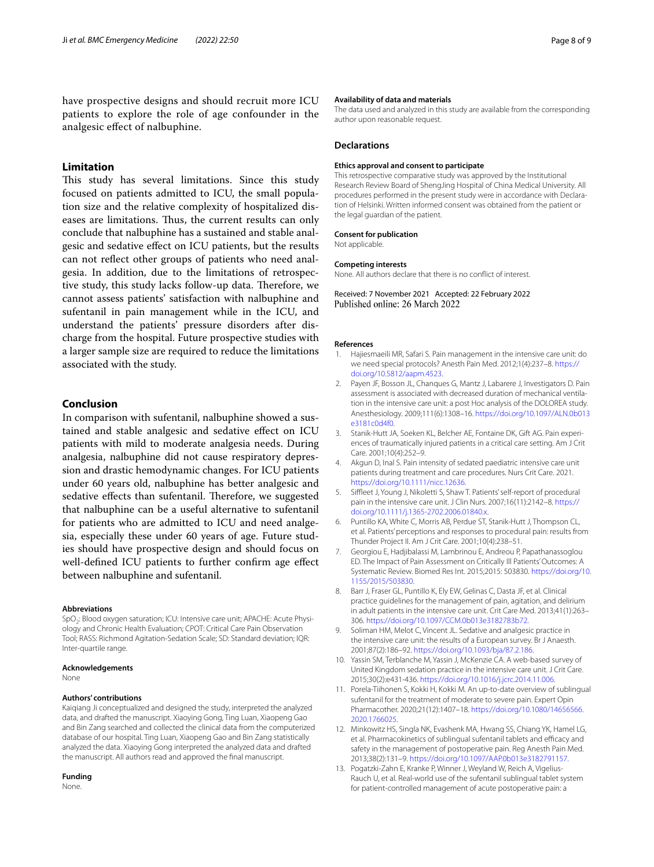have prospective designs and should recruit more ICU patients to explore the role of age confounder in the analgesic efect of nalbuphine.

# **Limitation**

This study has several limitations. Since this study focused on patients admitted to ICU, the small population size and the relative complexity of hospitalized diseases are limitations. Thus, the current results can only conclude that nalbuphine has a sustained and stable analgesic and sedative efect on ICU patients, but the results can not refect other groups of patients who need analgesia. In addition, due to the limitations of retrospective study, this study lacks follow-up data. Therefore, we cannot assess patients' satisfaction with nalbuphine and sufentanil in pain management while in the ICU, and understand the patients' pressure disorders after discharge from the hospital. Future prospective studies with a larger sample size are required to reduce the limitations associated with the study.

# **Conclusion**

In comparison with sufentanil, nalbuphine showed a sustained and stable analgesic and sedative efect on ICU patients with mild to moderate analgesia needs. During analgesia, nalbuphine did not cause respiratory depression and drastic hemodynamic changes. For ICU patients under 60 years old, nalbuphine has better analgesic and sedative effects than sufentanil. Therefore, we suggested that nalbuphine can be a useful alternative to sufentanil for patients who are admitted to ICU and need analgesia, especially these under 60 years of age. Future studies should have prospective design and should focus on well-defned ICU patients to further confrm age efect between nalbuphine and sufentanil.

#### **Abbreviations**

SpO<sub>2</sub>: Blood oxygen saturation; ICU: Intensive care unit; APACHE: Acute Physiology and Chronic Health Evaluation; CPOT: Critical Care Pain Observation Tool; RASS: Richmond Agitation-Sedation Scale; SD: Standard deviation; IQR: Inter-quartile range

## **Acknowledgements**

None

## **Authors' contributions**

Kaiqiang Ji conceptualized and designed the study, interpreted the analyzed data, and drafted the manuscript. Xiaoying Gong, Ting Luan, Xiaopeng Gao and Bin Zang searched and collected the clinical data from the computerized database of our hospital. Ting Luan, Xiaopeng Gao and Bin Zang statistically analyzed the data. Xiaoying Gong interpreted the analyzed data and drafted the manuscript. All authors read and approved the fnal manuscript.

# **Funding**

None.

#### **Availability of data and materials**

The data used and analyzed in this study are available from the corresponding author upon reasonable request.

#### **Declarations**

#### **Ethics approval and consent to participate**

This retrospective comparative study was approved by the Institutional Research Review Board of ShengJing Hospital of China Medical University. All procedures performed in the present study were in accordance with Declaration of Helsinki. Written informed consent was obtained from the patient or the legal guardian of the patient.

#### **Consent for publication**

#### Not applicable.

#### **Competing interests**

None. All authors declare that there is no confict of interest.

Received: 7 November 2021 Accepted: 22 February 2022<br>Published online: 26 March 2022

#### **References**

- <span id="page-7-0"></span>1. Hajiesmaeili MR, Safari S. Pain management in the intensive care unit: do we need special protocols? Anesth Pain Med. 2012;1(4):237–8. [https://](https://doi.org/10.5812/aapm.4523) [doi.org/10.5812/aapm.4523](https://doi.org/10.5812/aapm.4523).
- <span id="page-7-1"></span>2. Payen JF, Bosson JL, Chanques G, Mantz J, Labarere J, Investigators D. Pain assessment is associated with decreased duration of mechanical ventilation in the intensive care unit: a post Hoc analysis of the DOLOREA study. Anesthesiology. 2009;111(6):1308–16. [https://doi.org/10.1097/ALN.0b013](https://doi.org/10.1097/ALN.0b013e3181c0d4f0) [e3181c0d4f0](https://doi.org/10.1097/ALN.0b013e3181c0d4f0)
- 3. Stanik-Hutt JA, Soeken KL, Belcher AE, Fontaine DK, Gift AG. Pain experiences of traumatically injured patients in a critical care setting. Am J Crit Care. 2001;10(4):252–9.
- <span id="page-7-2"></span>4. Akgun D, Inal S. Pain intensity of sedated paediatric intensive care unit patients during treatment and care procedures. Nurs Crit Care. 2021. <https://doi.org/10.1111/nicc.12636>.
- <span id="page-7-3"></span>5. Siffleet J, Young J, Nikoletti S, Shaw T. Patients' self-report of procedural pain in the intensive care unit. J Clin Nurs. 2007;16(11):2142–8. [https://](https://doi.org/10.1111/j.1365-2702.2006.01840.x) [doi.org/10.1111/j.1365-2702.2006.01840.x.](https://doi.org/10.1111/j.1365-2702.2006.01840.x)
- <span id="page-7-4"></span>6. Puntillo KA, White C, Morris AB, Perdue ST, Stanik-Hutt J, Thompson CL, et al. Patients' perceptions and responses to procedural pain: results from Thunder Project II. Am J Crit Care. 2001;10(4):238–51.
- <span id="page-7-5"></span>7. Georgiou E, Hadjibalassi M, Lambrinou E, Andreou P, Papathanassoglou ED. The Impact of Pain Assessment on Critically Ill Patients' Outcomes: A Systematic Review. Biomed Res Int. 2015;2015: 503830. [https://doi.org/10.](https://doi.org/10.1155/2015/503830) [1155/2015/503830](https://doi.org/10.1155/2015/503830).
- <span id="page-7-6"></span>8. Barr J, Fraser GL, Puntillo K, Ely EW, Gelinas C, Dasta JF, et al. Clinical practice guidelines for the management of pain, agitation, and delirium in adult patients in the intensive care unit. Crit Care Med. 2013;41(1):263– 306. [https://doi.org/10.1097/CCM.0b013e3182783b72.](https://doi.org/10.1097/CCM.0b013e3182783b72)
- <span id="page-7-7"></span>9. Soliman HM, Melot C, Vincent JL. Sedative and analgesic practice in the intensive care unit: the results of a European survey. Br J Anaesth. 2001;87(2):186–92. <https://doi.org/10.1093/bja/87.2.186>.
- <span id="page-7-8"></span>10. Yassin SM, Terblanche M, Yassin J, McKenzie CA. A web-based survey of United Kingdom sedation practice in the intensive care unit. J Crit Care. 2015;30(2):e431-436. [https://doi.org/10.1016/j.jcrc.2014.11.006.](https://doi.org/10.1016/j.jcrc.2014.11.006)
- <span id="page-7-9"></span>11. Porela-Tiihonen S, Kokki H, Kokki M. An up-to-date overview of sublingual sufentanil for the treatment of moderate to severe pain. Expert Opin Pharmacother. 2020;21(12):1407–18. [https://doi.org/10.1080/14656566.](https://doi.org/10.1080/14656566.2020.1766025) [2020.1766025](https://doi.org/10.1080/14656566.2020.1766025).
- <span id="page-7-10"></span>12. Minkowitz HS, Singla NK, Evashenk MA, Hwang SS, Chiang YK, Hamel LG, et al. Pharmacokinetics of sublingual sufentanil tablets and efficacy and safety in the management of postoperative pain. Reg Anesth Pain Med. 2013;38(2):131–9. [https://doi.org/10.1097/AAP.0b013e3182791157.](https://doi.org/10.1097/AAP.0b013e3182791157)
- <span id="page-7-11"></span>13. Pogatzki-Zahn E, Kranke P, Winner J, Weyland W, Reich A, Vigelius-Rauch U, et al. Real-world use of the sufentanil sublingual tablet system for patient-controlled management of acute postoperative pain: a